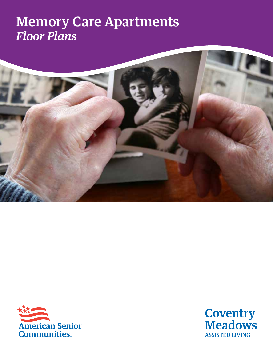## Memory Care Apartments *Floor Plans*





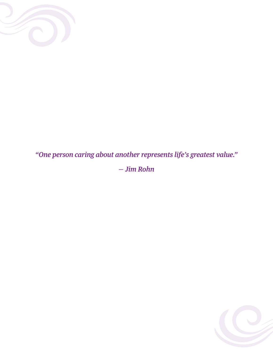

*"One person caring about another represents life's greatest value." — Jim Rohn*

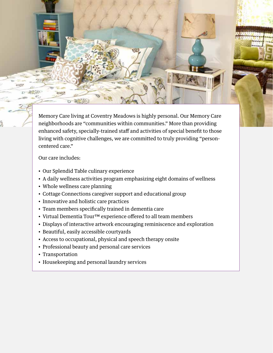Memory Care living at Coventry Meadows is highly personal. Our Memory Care neighborhoods are "communities within communities." More than providing enhanced safety, specially-trained staff and activities of special benefit to those living with cognitive challenges, we are committed to truly providing "personcentered care."

Our care includes:

- Our Splendid Table culinary experience
- A daily wellness activities program emphasizing eight domains of wellness
- Whole wellness care planning
- Cottage Connections caregiver support and educational group
- Innovative and holistic care practices
- Team members specifically trained in dementia care
- Virtual Dementia Tour™ experience offered to all team members
- Displays of interactive artwork encouraging reminiscence and exploration
- Beautiful, easily accessible courtyards
- Access to occupational, physical and speech therapy onsite
- Professional beauty and personal care services
- Transportation
- Housekeeping and personal laundry services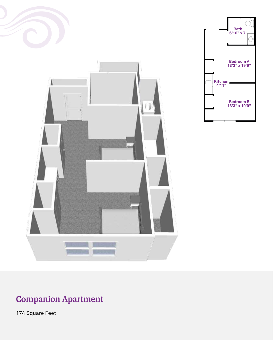



#### Companion Apartment

174 Square Feet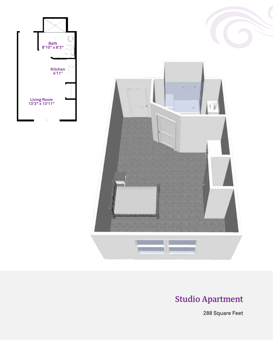





### Studio Apartment

288 Square Feet